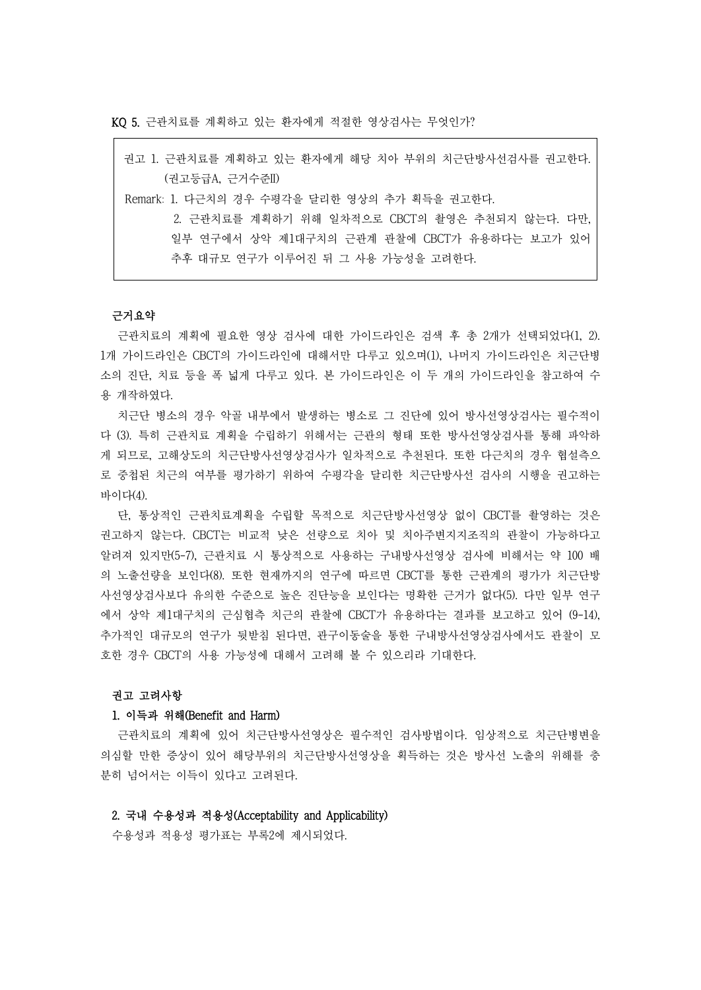KQ 5. 근관치료를 계획하고 있는 환자에게 적절한 영상검사는 무엇인가?

| 권고 1. 근관치료를 계획하고 있는 환자에게 해당 치아 부위의 치근단방사선검사를 권고한다. |
|----------------------------------------------------|
| (권고등급A, 근거수준II)                                    |
| Remark: 1. 다근치의 경우 수평각을 달리한 영상의 추가 획득을 궈고하다.       |
| 2. 근관치료를 계획하기 위해 일차적으로 CBCT의 촬영은 추천되지 않는다. 다만,     |
| 일부 연구에서 상악 제1대구치의 근관계 관찰에 CBCT가 유용하다는 보고가 있어       |
| 추후 대규모 연구가 이루어진 뒤 그 사용 가능성을 고려한다.                  |
|                                                    |

## 근거요약

근관치료의 계획에 필요한 영상 검사에 대한 가이드라인은 검색 후 총 2개가 선택되었다(1, 2). 1개 가이드라인은 CBCT의 가이드라인에 대해서만 다루고 있으며(1), 나머지 가이드라인은 치근단병 소의 진단, 치료 등을 폭 넓게 다루고 있다. 본 가이드라인은 이 두 개의 가이드라인을 참고하여 수 용 개작하였다.

치근단 병소의 경우 악골 내부에서 발생하는 병소로 그 진단에 있어 방사선영상검사는 필수적이 다 (3). 특히 근관치료 계획을 수립하기 위해서는 근관의 형태 또한 방사선영상검사를 통해 파악하 게 되므로, 고해상도의 치근단방사선영상검사가 일차적으로 추천된다. 또한 다근치의 경우 협설측으 로 중첩된 치근의 여부를 평가하기 위하여 수평각을 달리한 치근단방사선 검사의 시행을 권고하는 바이다(4).

단, 통상적인 근관치료계획을 수립할 목적으로 치근단방사선영상 없이 CBCT를 촬영하는 것은 권고하지 않는다. CBCT는 비교적 낮은 선량으로 치아 및 치아주변지지조직의 관찰이 가능하다고 알려져 있지만(5-7), 근관치료 시 통상적으로 사용하는 구내방사선영상 검사에 비해서는 약 100 배 의 노출선량을 보인다(8). 또한 현재까지의 연구에 따르면 CBCT를 통한 근관계의 평가가 치근단방 사선영상검사보다 유의한 수준으로 높은 진단능을 보인다는 명확한 근거가 없다(5). 다만 일부 연구 에서 상악 제1대구치의 근심협측 치근의 관찰에 CBCT가 유용하다는 결과를 보고하고 있어 (9-14), 추가적인 대규모의 연구가 뒷받침 된다면, 관구이동술을 통한 구내방사선영상검사에서도 관찰이 모 호한 경우 CBCT의 사용 가능성에 대해서 고려해 볼 수 있으리라 기대한다.<br>-<br>**권고 고려사항** 

#### 1. 이득과 위해(Benefit and Harm)

근관치료의 계획에 있어 치근단방사선영상은 필수적인 검사방법이다. 임상적으로 치근단병변을 의심할 만한 증상이 있어 해당부위의 치근단방사선영상을 획득하는 것은 방사선 노출의 위해를 충 분히 넘어서는 이득이 있다고 고려된다.

# 2. 국내 수용성과 적용성(Acceptability and Applicability)

수용성과 적용성 평가표는 부록2에 제시되었다.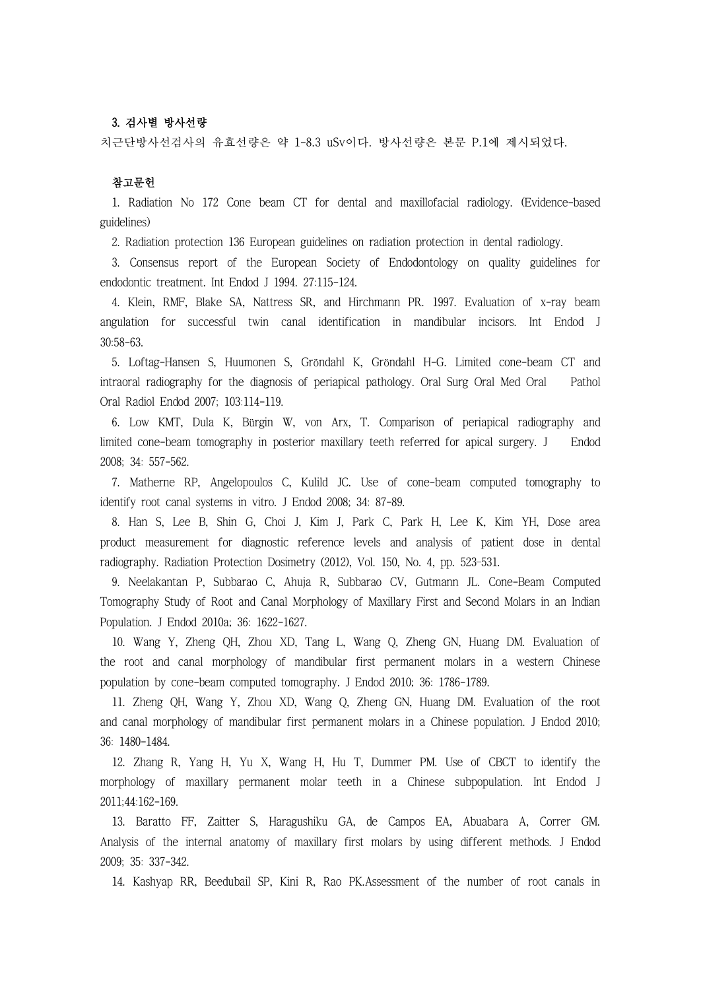# 3. 검사별 방사선량

치근단방사선검사의 유효선량은 약 1-8.3 uSv이다. 방사선량은 본문 P.1에 제시되었다.

## 참고문헌

1. Radiation No 172 Cone beam CT for dental and maxillofacial radiology. (Evidence-based guidelines)

2. Radiation protection 136 European guidelines on radiation protection in dental radiology.

3. Consensus report of the European Society of Endodontology on quality guidelines for endodontic treatment. Int Endod J 1994. 27:115-124.

4. Klein, RMF, Blake SA, Nattress SR, and Hirchmann PR. 1997. Evaluation of x-ray beam angulation for successful twin canal identification in mandibular incisors. Int Endod J 30:58-63.

5. Loftag-Hansen S, Huumonen S, Gröndahl K, Gröndahl H-G. Limited cone-beam CT and intraoral radiography for the diagnosis of periapical pathology. Oral Surg Oral Med Oral Pathol Oral Radiol Endod 2007; 103:114-119.

6. Low KMT, Dula K, Bürgin W, von Arx, T. Comparison of periapical radiography and limited cone-beam tomography in posterior maxillary teeth referred for apical surgery. J Endod 2008; 34: 557-562.

7. Matherne RP, Angelopoulos C, Kulild JC. Use of cone-beam computed tomography to identify root canal systems in vitro. J Endod 2008; 34: 87-89.

8. Han S, Lee B, Shin G, Choi J, Kim J, Park C, Park H, Lee K, Kim YH, Dose area product measurement for diagnostic reference levels and analysis of patient dose in dental radiography. Radiation Protection Dosimetry (2012), Vol. 150, No. 4, pp. 523–531.

9. Neelakantan P, Subbarao C, Ahuja R, Subbarao CV, Gutmann JL. Cone-Beam Computed Tomography Study of Root and Canal Morphology of Maxillary First and Second Molars in an Indian Population. J Endod 2010a; 36: 1622-1627.

10. Wang Y, Zheng QH, Zhou XD, Tang L, Wang Q, Zheng GN, Huang DM. Evaluation of the root and canal morphology of mandibular first permanent molars in a western Chinese population by cone-beam computed tomography. J Endod 2010; 36: 1786-1789.

11. Zheng QH, Wang Y, Zhou XD, Wang Q, Zheng GN, Huang DM. Evaluation of the root and canal morphology of mandibular first permanent molars in a Chinese population. J Endod 2010; 36: 1480-1484.

12. Zhang R, Yang H, Yu X, Wang H, Hu T, Dummer PM. Use of CBCT to identify the morphology of maxillary permanent molar teeth in a Chinese subpopulation. Int Endod J 2011;44:162-169.

13. Baratto FF, Zaitter S, Haragushiku GA, de Campos EA, Abuabara A, Correr GM. Analysis of the internal anatomy of maxillary first molars by using different methods. J Endod 2009; 35: 337-342.

14. Kashyap RR, Beedubail SP, Kini R, Rao PK.Assessment of the number of root canals in